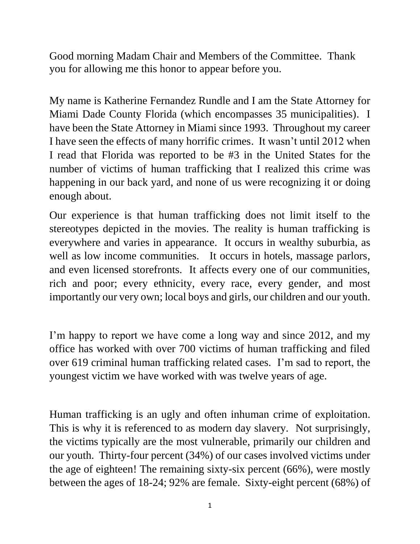Good morning Madam Chair and Members of the Committee. Thank you for allowing me this honor to appear before you.

My name is Katherine Fernandez Rundle and I am the State Attorney for Miami Dade County Florida (which encompasses 35 municipalities). I have been the State Attorney in Miami since 1993. Throughout my career I have seen the effects of many horrific crimes. It wasn't until 2012 when I read that Florida was reported to be #3 in the United States for the number of victims of human trafficking that I realized this crime was happening in our back yard, and none of us were recognizing it or doing enough about.

Our experience is that human trafficking does not limit itself to the stereotypes depicted in the movies. The reality is human trafficking is everywhere and varies in appearance. It occurs in wealthy suburbia, as well as low income communities. It occurs in hotels, massage parlors, and even licensed storefronts. It affects every one of our communities, rich and poor; every ethnicity, every race, every gender, and most importantly our very own; local boys and girls, our children and our youth.

I'm happy to report we have come a long way and since 2012, and my office has worked with over 700 victims of human trafficking and filed over 619 criminal human trafficking related cases. I'm sad to report, the youngest victim we have worked with was twelve years of age.

Human trafficking is an ugly and often inhuman crime of exploitation. This is why it is referenced to as modern day slavery. Not surprisingly, the victims typically are the most vulnerable, primarily our children and our youth. Thirty-four percent (34%) of our cases involved victims under the age of eighteen! The remaining sixty-six percent (66%), were mostly between the ages of 18-24; 92% are female. Sixty-eight percent (68%) of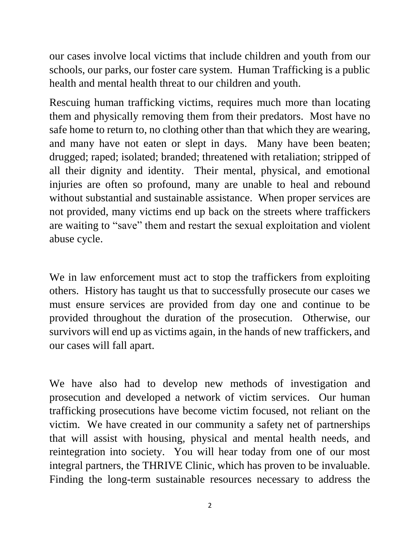our cases involve local victims that include children and youth from our schools, our parks, our foster care system. Human Trafficking is a public health and mental health threat to our children and youth.

Rescuing human trafficking victims, requires much more than locating them and physically removing them from their predators. Most have no safe home to return to, no clothing other than that which they are wearing, and many have not eaten or slept in days. Many have been beaten; drugged; raped; isolated; branded; threatened with retaliation; stripped of all their dignity and identity. Their mental, physical, and emotional injuries are often so profound, many are unable to heal and rebound without substantial and sustainable assistance. When proper services are not provided, many victims end up back on the streets where traffickers are waiting to "save" them and restart the sexual exploitation and violent abuse cycle.

We in law enforcement must act to stop the traffickers from exploiting others. History has taught us that to successfully prosecute our cases we must ensure services are provided from day one and continue to be provided throughout the duration of the prosecution. Otherwise, our survivors will end up as victims again, in the hands of new traffickers, and our cases will fall apart.

We have also had to develop new methods of investigation and prosecution and developed a network of victim services. Our human trafficking prosecutions have become victim focused, not reliant on the victim. We have created in our community a safety net of partnerships that will assist with housing, physical and mental health needs, and reintegration into society. You will hear today from one of our most integral partners, the THRIVE Clinic, which has proven to be invaluable. Finding the long-term sustainable resources necessary to address the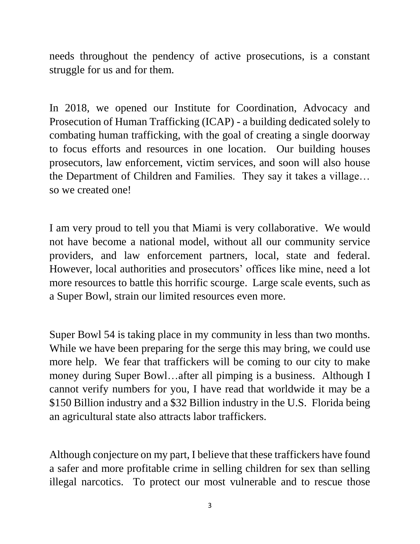needs throughout the pendency of active prosecutions, is a constant struggle for us and for them.

In 2018, we opened our Institute for Coordination, Advocacy and Prosecution of Human Trafficking (ICAP) - a building dedicated solely to combating human trafficking, with the goal of creating a single doorway to focus efforts and resources in one location. Our building houses prosecutors, law enforcement, victim services, and soon will also house the Department of Children and Families. They say it takes a village… so we created one!

I am very proud to tell you that Miami is very collaborative. We would not have become a national model, without all our community service providers, and law enforcement partners, local, state and federal. However, local authorities and prosecutors' offices like mine, need a lot more resources to battle this horrific scourge. Large scale events, such as a Super Bowl, strain our limited resources even more.

Super Bowl 54 is taking place in my community in less than two months. While we have been preparing for the serge this may bring, we could use more help. We fear that traffickers will be coming to our city to make money during Super Bowl…after all pimping is a business. Although I cannot verify numbers for you, I have read that worldwide it may be a \$150 Billion industry and a \$32 Billion industry in the U.S. Florida being an agricultural state also attracts labor traffickers.

Although conjecture on my part, I believe that these traffickers have found a safer and more profitable crime in selling children for sex than selling illegal narcotics. To protect our most vulnerable and to rescue those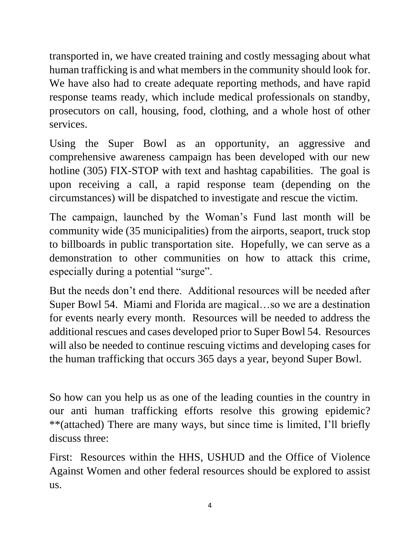transported in, we have created training and costly messaging about what human trafficking is and what members in the community should look for. We have also had to create adequate reporting methods, and have rapid response teams ready, which include medical professionals on standby, prosecutors on call, housing, food, clothing, and a whole host of other services.

Using the Super Bowl as an opportunity, an aggressive and comprehensive awareness campaign has been developed with our new hotline (305) FIX-STOP with text and hashtag capabilities. The goal is upon receiving a call, a rapid response team (depending on the circumstances) will be dispatched to investigate and rescue the victim.

The campaign, launched by the Woman's Fund last month will be community wide (35 municipalities) from the airports, seaport, truck stop to billboards in public transportation site. Hopefully, we can serve as a demonstration to other communities on how to attack this crime, especially during a potential "surge".

But the needs don't end there. Additional resources will be needed after Super Bowl 54. Miami and Florida are magical…so we are a destination for events nearly every month. Resources will be needed to address the additional rescues and cases developed prior to Super Bowl 54. Resources will also be needed to continue rescuing victims and developing cases for the human trafficking that occurs 365 days a year, beyond Super Bowl.

So how can you help us as one of the leading counties in the country in our anti human trafficking efforts resolve this growing epidemic? \*\*(attached) There are many ways, but since time is limited, I'll briefly discuss three:

First: Resources within the HHS, USHUD and the Office of Violence Against Women and other federal resources should be explored to assist us.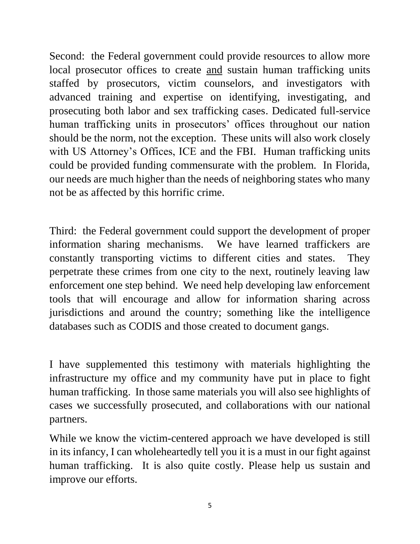Second: the Federal government could provide resources to allow more local prosecutor offices to create and sustain human trafficking units staffed by prosecutors, victim counselors, and investigators with advanced training and expertise on identifying, investigating, and prosecuting both labor and sex trafficking cases. Dedicated full-service human trafficking units in prosecutors' offices throughout our nation should be the norm, not the exception. These units will also work closely with US Attorney's Offices, ICE and the FBI. Human trafficking units could be provided funding commensurate with the problem. In Florida, our needs are much higher than the needs of neighboring states who many not be as affected by this horrific crime.

Third: the Federal government could support the development of proper information sharing mechanisms. We have learned traffickers are constantly transporting victims to different cities and states. They perpetrate these crimes from one city to the next, routinely leaving law enforcement one step behind. We need help developing law enforcement tools that will encourage and allow for information sharing across jurisdictions and around the country; something like the intelligence databases such as CODIS and those created to document gangs.

I have supplemented this testimony with materials highlighting the infrastructure my office and my community have put in place to fight human trafficking. In those same materials you will also see highlights of cases we successfully prosecuted, and collaborations with our national partners.

While we know the victim-centered approach we have developed is still in its infancy, I can wholeheartedly tell you it is a must in our fight against human trafficking. It is also quite costly. Please help us sustain and improve our efforts.